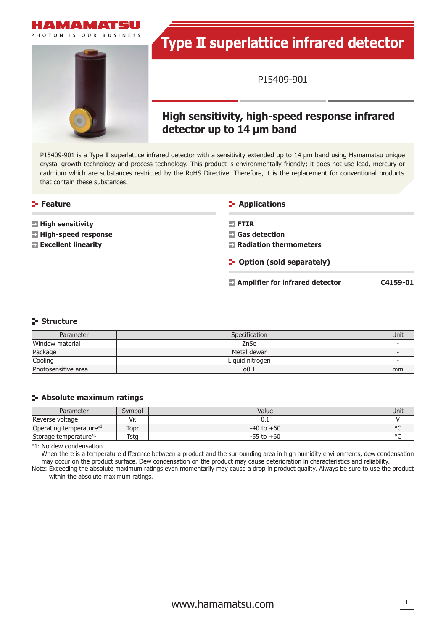



# **Type II superlattice infrared detector**

P15409-901

# **High sensitivity, high-speed response infrared detector up to 14 μm band**

P15409-901 is a Type II superlattice infrared detector with a sensitivity extended up to 14 μm band using Hamamatsu unique crystal growth technology and process technology. This product is environmentally friendly; it does not use lead, mercury or cadmium which are substances restricted by the RoHS Directive. Therefore, it is the replacement for conventional products that contain these substances.

### **Feature**

- **E** High sensitivity
- **High-speed response**
- **Excellent linearity**

### **Applications**

 **FTIR**

 **Gas detection**

- **Radiation thermometers**
- **P** Option (sold separately)

 **Amplifier for infrared detector** C4159-01

## **Structure**

| Parameter           | <b>Specification</b> | Unit |
|---------------------|----------------------|------|
| Window material     | ZnSe                 |      |
| Package             | Metal dewar          |      |
| Cooling             | Liquid nitrogen      |      |
| Photosensitive area | $\phi$ 0.1           | mm   |

### **Absolute maximum ratings**

| Parameter               | Svmbol    | Value          | Unit   |
|-------------------------|-----------|----------------|--------|
| Reverse voltage         | <b>VR</b> |                |        |
| Operating temperature*1 | Topr      | $-40$ to $+60$ | $\sim$ |
| Storage temperature*1   | Tstg      | $-55$ to $+60$ | $\sim$ |

\*1: No dew condensation

When there is a temperature difference between a product and the surrounding area in high humidity environments, dew condensation may occur on the product surface. Dew condensation on the product may cause deterioration in characteristics and reliability.

Note: Exceeding the absolute maximum ratings even momentarily may cause a drop in product quality. Always be sure to use the product within the absolute maximum ratings.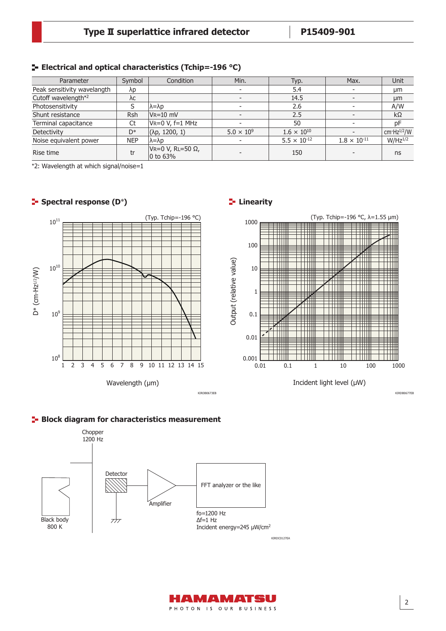## **Electrical and optical characteristics (Tchip=-196 °C)**

| Parameter                   | Symbol     | Condition                                | Min.                | Typ.                  | Max.                  | Unit            |
|-----------------------------|------------|------------------------------------------|---------------------|-----------------------|-----------------------|-----------------|
| Peak sensitivity wavelangth | λp         |                                          |                     | 5.4                   |                       | μm              |
| Cutoff wavelength*2         | λc         |                                          |                     | 14.5                  |                       | µm              |
| Photosensitivity            |            | $\lambda = \lambda p$                    |                     | 2.6                   |                       | A/W             |
| Shunt resistance            | <b>Rsh</b> | $V_{R} = 10$ mV                          |                     | 2.5                   |                       | $k\Omega$       |
| Terminal capacitance        | Ct         | $V = 0 V, f = 1 MHz$                     |                     | 50                    |                       | pF              |
| Detectivity                 | D*         | (λp, 1200, 1)                            | $5.0 \times 10^{9}$ | $1.6 \times 10^{10}$  |                       | cm $Hz^{1/2}/W$ |
| Noise equivalent power      | <b>NEP</b> | $\lambda = \lambda p$                    |                     | $5.5 \times 10^{-12}$ | $1.8 \times 10^{-11}$ | $W/Hz^{1/2}$    |
| Rise time                   | tr         | $V = 0 V$ , RL=50 $\Omega$ ,<br>0 to 63% |                     | 150                   |                       | ns              |

\*2: Wavelength at which signal/noise=1

## **F** Spectral response (D\*)

# (Typ. Tchip=-196 °C)  $10^{11}$  $10^{10}$  $D^*$  (cm·Hz<sup>1/2</sup>/W) D\* (cm∙Hz1/2/W)  $10<sup>9</sup>$  $10^{8}$ 1 2 3 4 5 6 7 8 9 10 11 12 13 14 15 Wavelength (μm)

# **Linearity**



Incident light level (μW)

KIRDB0677EB

### **Block diagram for characteristics measurement**





KIRDB0673EB